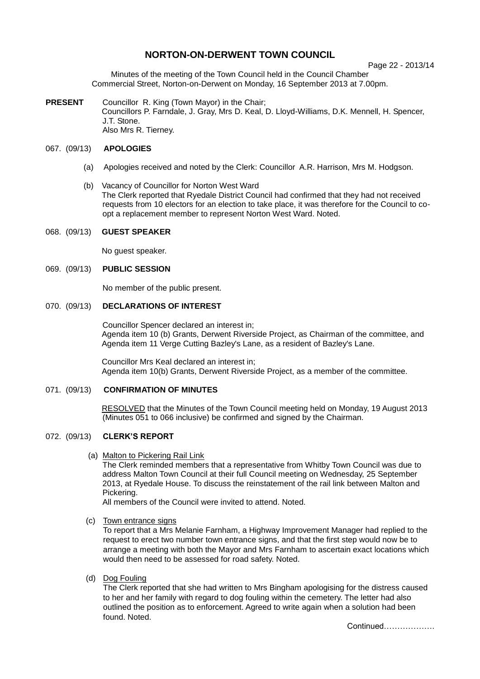# **NORTON-ON-DERWENT TOWN COUNCIL**

Page 22 - 2013/14

Minutes of the meeting of the Town Council held in the Council Chamber Commercial Street, Norton-on-Derwent on Monday, 16 September 2013 at 7.00pm.

**PRESENT** Councillor R. King (Town Mayor) in the Chair; Councillors P. Farndale, J. Gray, Mrs D. Keal, D. Lloyd-Williams, D.K. Mennell, H. Spencer, J.T. Stone. Also Mrs R. Tierney.

# 067. (09/13) **APOLOGIES**

- (a) Apologies received and noted by the Clerk: Councillor A.R. Harrison, Mrs M. Hodgson.
- (b) Vacancy of Councillor for Norton West Ward The Clerk reported that Ryedale District Council had confirmed that they had not received requests from 10 electors for an election to take place, it was therefore for the Council to coopt a replacement member to represent Norton West Ward. Noted.

#### 068. (09/13) **GUEST SPEAKER**

No guest speaker.

### 069. (09/13) **PUBLIC SESSION**

No member of the public present.

#### 070. (09/13) **DECLARATIONS OF INTEREST**

 Councillor Spencer declared an interest in; Agenda item 10 (b) Grants, Derwent Riverside Project, as Chairman of the committee, and Agenda item 11 Verge Cutting Bazley's Lane, as a resident of Bazley's Lane.

Councillor Mrs Keal declared an interest in; Agenda item 10(b) Grants, Derwent Riverside Project, as a member of the committee.

# 071. (09/13) **CONFIRMATION OF MINUTES**

 RESOLVED that the Minutes of the Town Council meeting held on Monday, 19 August 2013 (Minutes 051 to 066 inclusive) be confirmed and signed by the Chairman.

#### 072. (09/13) **CLERK'S REPORT**

(a) Malton to Pickering Rail Link

The Clerk reminded members that a representative from Whitby Town Council was due to address Malton Town Council at their full Council meeting on Wednesday, 25 September 2013, at Ryedale House. To discuss the reinstatement of the rail link between Malton and Pickering.

All members of the Council were invited to attend. Noted.

(c) Town entrance signs

To report that a Mrs Melanie Farnham, a Highway Improvement Manager had replied to the request to erect two number town entrance signs, and that the first step would now be to arrange a meeting with both the Mayor and Mrs Farnham to ascertain exact locations which would then need to be assessed for road safety. Noted.

(d) Dog Fouling

The Clerk reported that she had written to Mrs Bingham apologising for the distress caused to her and her family with regard to dog fouling within the cemetery. The letter had also outlined the position as to enforcement. Agreed to write again when a solution had been found. Noted.

Continued……………….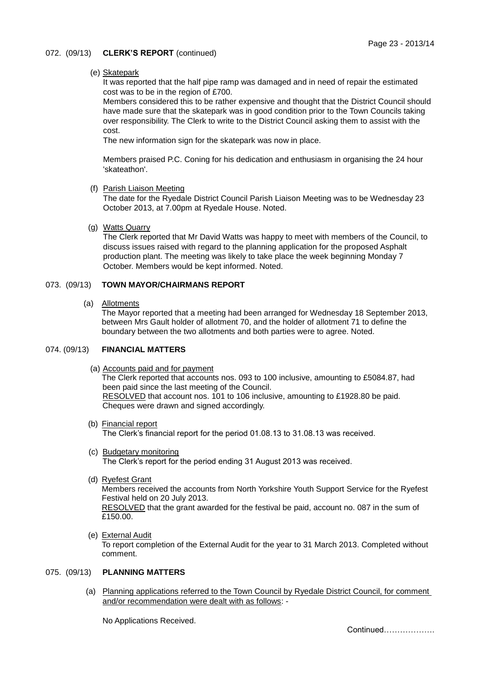### 072. (09/13) **CLERK'S REPORT** (continued)

### (e) Skatepark

It was reported that the half pipe ramp was damaged and in need of repair the estimated cost was to be in the region of £700.

Members considered this to be rather expensive and thought that the District Council should have made sure that the skatepark was in good condition prior to the Town Councils taking over responsibility. The Clerk to write to the District Council asking them to assist with the cost.

The new information sign for the skatepark was now in place.

Members praised P.C. Coning for his dedication and enthusiasm in organising the 24 hour 'skateathon'.

(f) Parish Liaison Meeting

The date for the Ryedale District Council Parish Liaison Meeting was to be Wednesday 23 October 2013, at 7.00pm at Ryedale House. Noted.

### (g) Watts Quarry

The Clerk reported that Mr David Watts was happy to meet with members of the Council, to discuss issues raised with regard to the planning application for the proposed Asphalt production plant. The meeting was likely to take place the week beginning Monday 7 October. Members would be kept informed. Noted.

# 073. (09/13) **TOWN MAYOR/CHAIRMANS REPORT**

(a) Allotments

The Mayor reported that a meeting had been arranged for Wednesday 18 September 2013, between Mrs Gault holder of allotment 70, and the holder of allotment 71 to define the boundary between the two allotments and both parties were to agree. Noted.

#### 074. (09/13) **FINANCIAL MATTERS**

(a) Accounts paid and for payment

The Clerk reported that accounts nos. 093 to 100 inclusive, amounting to £5084.87, had been paid since the last meeting of the Council. RESOLVED that account nos. 101 to 106 inclusive, amounting to £1928.80 be paid. Cheques were drawn and signed accordingly.

- (b) Financial report The Clerk's financial report for the period 01.08.13 to 31.08.13 was received.
- (c) Budgetary monitoring The Clerk's report for the period ending 31 August 2013 was received.
- (d) Ryefest Grant

Members received the accounts from North Yorkshire Youth Support Service for the Ryefest Festival held on 20 July 2013.

RESOLVED that the grant awarded for the festival be paid, account no. 087 in the sum of  $E150.00.$ 

 (e) External Audit To report completion of the External Audit for the year to 31 March 2013. Completed without comment.

#### 075. (09/13) **PLANNING MATTERS**

 (a) Planning applications referred to the Town Council by Ryedale District Council, for comment and/or recommendation were dealt with as follows: -

No Applications Received.

Continued……………….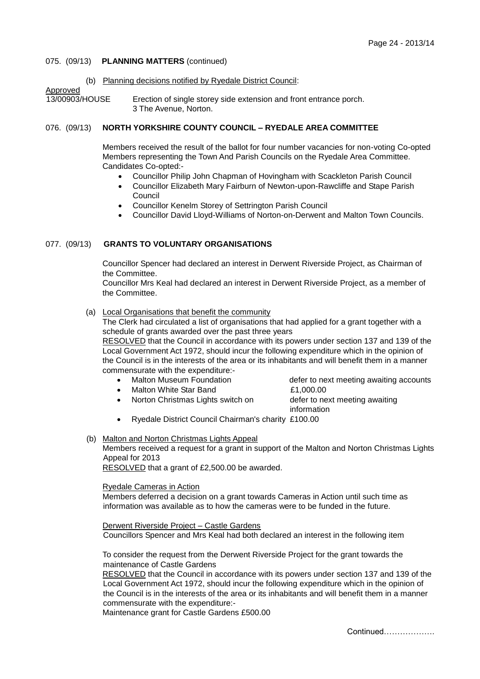### 075. (09/13) **PLANNING MATTERS** (continued)

(b) Planning decisions notified by Ryedale District Council:

Approved

13/00903/HOUSE Erection of single storey side extension and front entrance porch. 3 The Avenue, Norton.

# 076. (09/13) **NORTH YORKSHIRE COUNTY COUNCIL – RYEDALE AREA COMMITTEE**

Members received the result of the ballot for four number vacancies for non-voting Co-opted Members representing the Town And Parish Councils on the Ryedale Area Committee. Candidates Co-opted:-

- Councillor Philip John Chapman of Hovingham with Scackleton Parish Council
- Councillor Elizabeth Mary Fairburn of Newton-upon-Rawcliffe and Stape Parish Council
- Councillor Kenelm Storey of Settrington Parish Council
- Councillor David Lloyd-Williams of Norton-on-Derwent and Malton Town Councils.

# 077. (09/13) **GRANTS TO VOLUNTARY ORGANISATIONS**

Councillor Spencer had declared an interest in Derwent Riverside Project, as Chairman of the Committee.

Councillor Mrs Keal had declared an interest in Derwent Riverside Project, as a member of the Committee.

#### (a) Local Organisations that benefit the community

The Clerk had circulated a list of organisations that had applied for a grant together with a schedule of grants awarded over the past three years

RESOLVED that the Council in accordance with its powers under section 137 and 139 of the Local Government Act 1972, should incur the following expenditure which in the opinion of the Council is in the interests of the area or its inhabitants and will benefit them in a manner commensurate with the expenditure:-

- 
- Malton White Star Band **E1,000.00**

Norton Christmas Lights switch on defer to next meeting awaiting

• Malton Museum Foundation **defer to next meeting awaiting accounts** 

information

- Ryedale District Council Chairman's charity £100.00
- (b) Malton and Norton Christmas Lights Appeal Members received a request for a grant in support of the Malton and Norton Christmas Lights Appeal for 2013

RESOLVED that a grant of £2,500.00 be awarded.

#### Ryedale Cameras in Action

Members deferred a decision on a grant towards Cameras in Action until such time as information was available as to how the cameras were to be funded in the future.

Derwent Riverside Project – Castle Gardens Councillors Spencer and Mrs Keal had both declared an interest in the following item

To consider the request from the Derwent Riverside Project for the grant towards the maintenance of Castle Gardens

RESOLVED that the Council in accordance with its powers under section 137 and 139 of the Local Government Act 1972, should incur the following expenditure which in the opinion of the Council is in the interests of the area or its inhabitants and will benefit them in a manner commensurate with the expenditure:-

Maintenance grant for Castle Gardens £500.00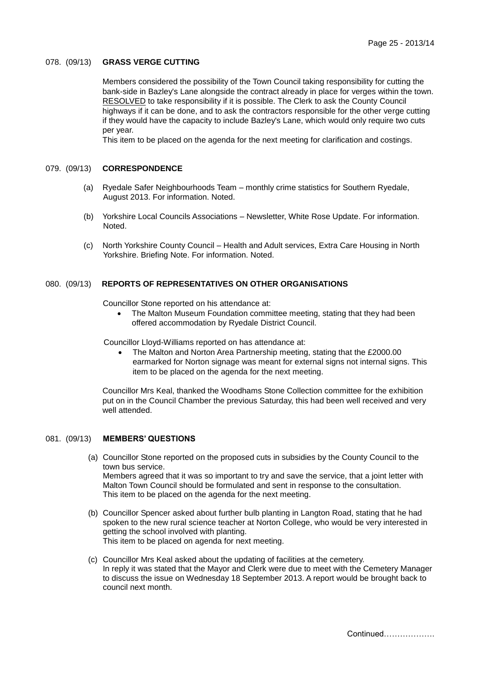#### 078. (09/13) **GRASS VERGE CUTTING**

Members considered the possibility of the Town Council taking responsibility for cutting the bank-side in Bazley's Lane alongside the contract already in place for verges within the town. RESOLVED to take responsibility if it is possible. The Clerk to ask the County Council highways if it can be done, and to ask the contractors responsible for the other verge cutting if they would have the capacity to include Bazley's Lane, which would only require two cuts per year.

This item to be placed on the agenda for the next meeting for clarification and costings.

#### 079. (09/13) **CORRESPONDENCE**

- (a) Ryedale Safer Neighbourhoods Team monthly crime statistics for Southern Ryedale, August 2013. For information. Noted.
- (b) Yorkshire Local Councils Associations Newsletter, White Rose Update. For information. Noted.
- (c) North Yorkshire County Council Health and Adult services, Extra Care Housing in North Yorkshire. Briefing Note. For information. Noted.

### 080. (09/13) **REPORTS OF REPRESENTATIVES ON OTHER ORGANISATIONS**

Councillor Stone reported on his attendance at:

 The Malton Museum Foundation committee meeting, stating that they had been offered accommodation by Ryedale District Council.

Councillor Lloyd-Williams reported on has attendance at:

 The Malton and Norton Area Partnership meeting, stating that the £2000.00 earmarked for Norton signage was meant for external signs not internal signs. This item to be placed on the agenda for the next meeting.

Councillor Mrs Keal, thanked the Woodhams Stone Collection committee for the exhibition put on in the Council Chamber the previous Saturday, this had been well received and very well attended.

### 081. (09/13) **MEMBERS' QUESTIONS**

- (a) Councillor Stone reported on the proposed cuts in subsidies by the County Council to the town bus service. Members agreed that it was so important to try and save the service, that a joint letter with Malton Town Council should be formulated and sent in response to the consultation. This item to be placed on the agenda for the next meeting.
- (b) Councillor Spencer asked about further bulb planting in Langton Road, stating that he had spoken to the new rural science teacher at Norton College, who would be very interested in getting the school involved with planting. This item to be placed on agenda for next meeting.
- (c) Councillor Mrs Keal asked about the updating of facilities at the cemetery. In reply it was stated that the Mayor and Clerk were due to meet with the Cemetery Manager to discuss the issue on Wednesday 18 September 2013. A report would be brought back to council next month.

Continued……………….